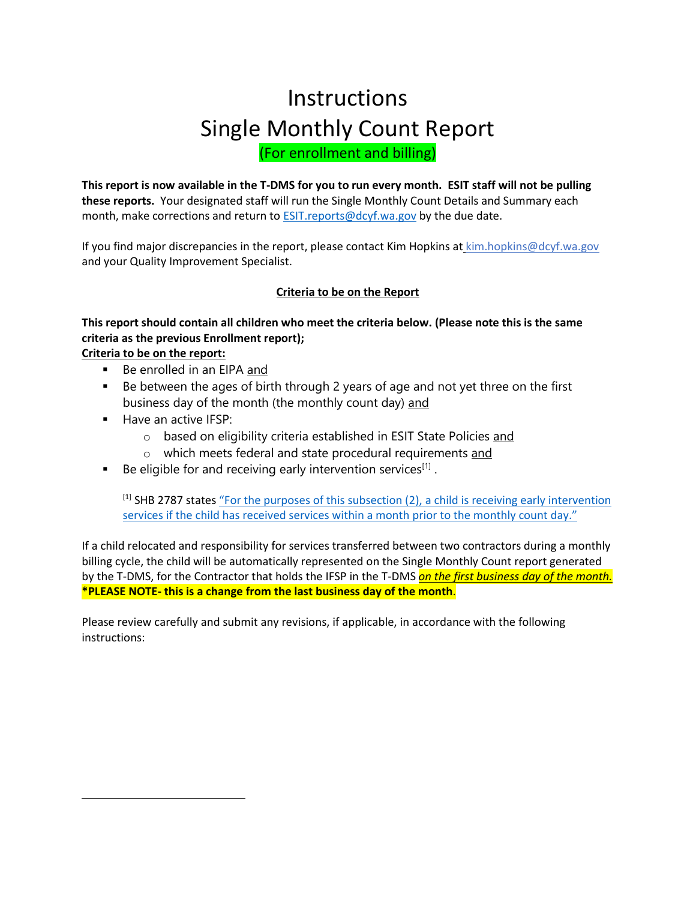# **Instructions** Single Monthly Count Report (For enrollment and billing)

**This report is now available in the T-DMS for you to run every month. ESIT staff will not be pulling these reports.** Your designated staff will run the Single Monthly Count Details and Summary each month, make corrections and return to [ESIT.reports@dcyf.wa.gov](mailto:ESIT.reports@dcyf.wa.gov) by the due date.

If you find major discrepancies in the report, please contact Kim Hopkins at [kim.hopkins@dcyf.wa.gov](mailto:kim.hopkins@dcyf.wa.gov) and your Quality Improvement Specialist.

#### **Criteria to be on the Report**

## **This report should contain all children who meet the criteria below. (Please note this is the same criteria as the previous Enrollment report);**

**Criteria to be on the report:**

- Be enrolled in an EIPA and
- Be between the ages of birth through 2 years of age and not yet three on the first business day of the month (the monthly count day) and
- Have an active IFSP:

 $\overline{\phantom{a}}$ 

- o based on eligibility criteria established in ESIT State Policies and
- o which meets federal and state procedural requirements and
- **Be eligible for and receiving early intervention services**<sup>[1]</sup>.

[1] SHB 2787 states ["For the purposes of this subsection \(2\),](http://lawfilesext.leg.wa.gov/biennium/2019-20/Pdf/Bills/House%20Passed%20Legislature/2787-S.PL.pdf?q=20200615170703) a child is receiving early intervention services if the child has receiv[ed services within a month prior to the monthly count day."](http://lawfilesext.leg.wa.gov/biennium/2019-20/Pdf/Bills/House%20Passed%20Legislature/2787-S.PL.pdf?q=20200615170703)

If a child relocated and responsibility for services transferred between two contractors during a monthly billing cycle, the child will be automatically represented on the Single Monthly Count report generated by the T-DMS, for the Contractor that holds the IFSP in the T-DMS *on the first business day of the month.* **\*PLEASE NOTE- this is a change from the last business day of the month**.

Please review carefully and submit any revisions, if applicable, in accordance with the following instructions: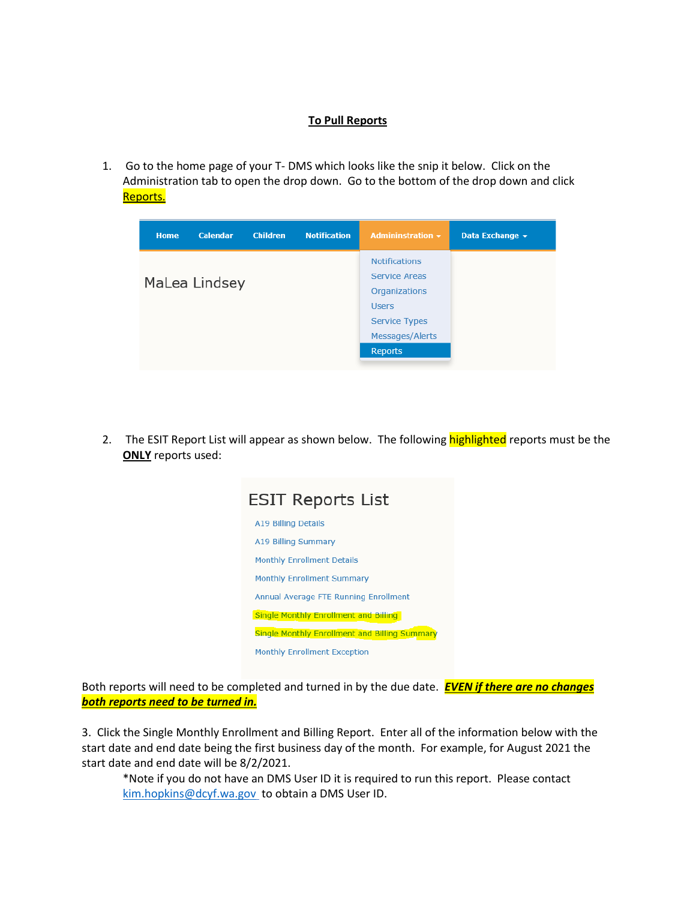#### **To Pull Reports**

1. Go to the home page of your T- DMS which looks like the snip it below. Click on the Administration tab to open the drop down. Go to the bottom of the drop down and click Reports.

| <b>Home</b>   | <b>Calendar</b> | <b>Children</b> | <b>Notification</b> | Admininstration $\sim$ | Data Exchange + |
|---------------|-----------------|-----------------|---------------------|------------------------|-----------------|
|               |                 |                 |                     | <b>Notifications</b>   |                 |
|               |                 |                 |                     | Service Areas          |                 |
| MaLea Lindsey |                 |                 |                     | <b>Organizations</b>   |                 |
|               |                 |                 |                     | <b>Users</b>           |                 |
|               |                 |                 |                     | <b>Service Types</b>   |                 |
|               |                 |                 |                     | Messages/Alerts        |                 |
|               |                 |                 |                     | Reports                |                 |
|               |                 |                 |                     |                        |                 |

2. The ESIT Report List will appear as shown below. The following **highlighted** reports must be the **ONLY** reports used:

| ESIT Reports List                                    |  |  |  |  |
|------------------------------------------------------|--|--|--|--|
| <b>A19 Billing Details</b>                           |  |  |  |  |
| A19 Billing Summary                                  |  |  |  |  |
| <b>Monthly Enrollment Details</b>                    |  |  |  |  |
| <b>Monthly Enrollment Summary</b>                    |  |  |  |  |
| Annual Average FTE Running Enrollment                |  |  |  |  |
| Single Monthly Enrollment and Billing                |  |  |  |  |
| <b>Single Monthly Enrollment and Billing Summary</b> |  |  |  |  |
| <b>Monthly Enrollment Exception</b>                  |  |  |  |  |

Both reports will need to be completed and turned in by the due date. *EVEN if there are no changes both reports need to be turned in.*

3. Click the Single Monthly Enrollment and Billing Report. Enter all of the information below with the start date and end date being the first business day of the month. For example, for August 2021 the start date and end date will be 8/2/2021.

\*Note if you do not have an DMS User ID it is required to run this report. Please contact [kim.hopkins@dcyf.wa.gov](mailto:kim.hopkins@dcyf.wa.gov) to obtain a DMS User ID.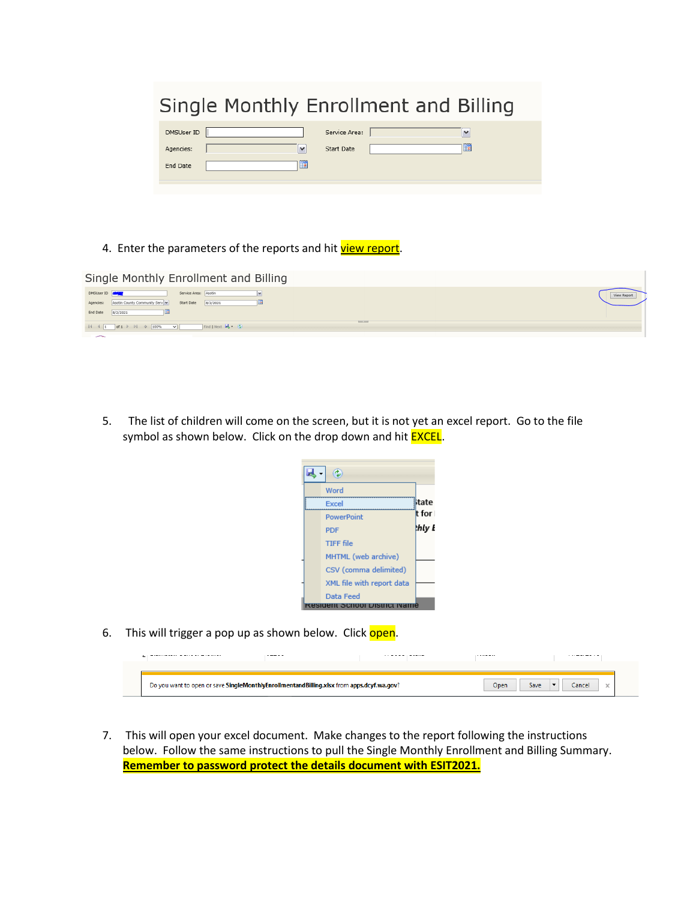| Single Monthly Enrollment and Billing |              |                             |  |                   |
|---------------------------------------|--------------|-----------------------------|--|-------------------|
| DMSUser ID<br>Agencies:               | $\checkmark$ | Service Area:<br>Start Date |  | $\checkmark$<br>H |
| End Date                              | <b>Ha</b>    |                             |  |                   |
|                                       |              |                             |  |                   |

4. Enter the parameters of the reports and hit *view report*.

| Single Monthly Enrollment and Billing                                                                  |  |
|--------------------------------------------------------------------------------------------------------|--|
| DMSUser ID<br>Service Area: Asotin<br>Agencies: Asotin County Community Serv<br>8/2/2021<br>Start Date |  |
| End Date<br>8/2/2021                                                                                   |  |
| <b>Barnet Street</b>                                                                                   |  |
| <b>Contract Contract Contract Contract</b>                                                             |  |

5. The list of children will come on the screen, but it is not yet an excel report. Go to the file symbol as shown below. Click on the drop down and hit **EXCEL**.



6. This will trigger a pop up as shown below. Click open.

|                                                                                               | ----- | . . <b>.</b> . <b>.</b> | . |
|-----------------------------------------------------------------------------------------------|-------|-------------------------|---|
|                                                                                               |       |                         |   |
|                                                                                               |       |                         |   |
| you want to open or save SingleMonthlyEnrollmentandBilling.xlsx from apps.dcyf.wa.gov?<br>Do: |       |                         |   |

7. This will open your excel document. Make changes to the report following the instructions below. Follow the same instructions to pull the Single Monthly Enrollment and Billing Summary. **Remember to password protect the details document with ESIT2021.**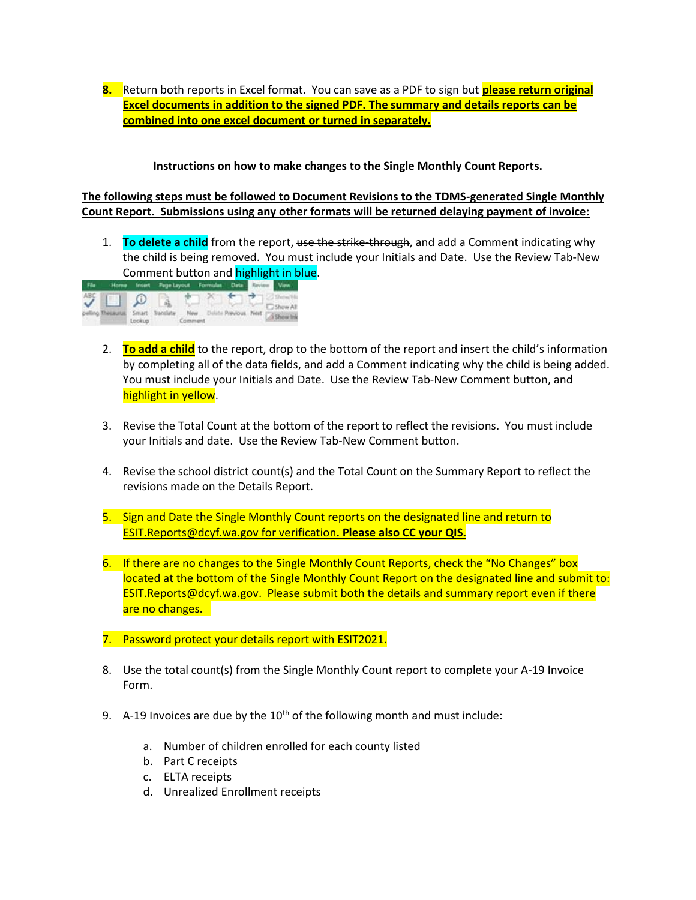**8.** Return both reports in Excel format. You can save as a PDF to sign but **please return original Excel documents in addition to the signed PDF. The summary and details reports can be combined into one excel document or turned in separately.** 

**Instructions on how to make changes to the Single Monthly Count Reports.**

**The following steps must be followed to Document Revisions to the TDMS-generated Single Monthly Count Report. Submissions using any other formats will be returned delaying payment of invoice:**

1. **To delete a child** from the report, use the strike-through, and add a Comment indicating why the child is being removed. You must include your Initials and Date. Use the Review Tab-New Comment button and highlight in blue.



- 2. **To add a child** to the report, drop to the bottom of the report and insert the child's information by completing all of the data fields, and add a Comment indicating why the child is being added. You must include your Initials and Date. Use the Review Tab-New Comment button, and highlight in yellow.
- 3. Revise the Total Count at the bottom of the report to reflect the revisions. You must include your Initials and date. Use the Review Tab-New Comment button.
- 4. Revise the school district count(s) and the Total Count on the Summary Report to reflect the revisions made on the Details Report.
- 5. Sign and Date the Single Monthly Count reports on the designated line and return to [ESIT.Reports@dcyf.wa.gov](mailto:ESIT.Reports@dcyf.wa.gov) for verification**. Please also CC your QIS.**
- 6. If there are no changes to the Single Monthly Count Reports, check the "No Changes" box located at the bottom of the Single Monthly Count Report on the designated line and submit to: [ESIT.Reports@dcyf.wa.gov.](mailto:ESIT.Reports@dcyf.wa.gov) Please submit both the details and summary report even if there are no changes.
- 7. Password protect your details report with ESIT2021.
- 8. Use the total count(s) from the Single Monthly Count report to complete your A-19 Invoice Form.
- 9. A-19 Invoices are due by the  $10<sup>th</sup>$  of the following month and must include:
	- a. Number of children enrolled for each county listed
	- b. Part C receipts
	- c. ELTA receipts
	- d. Unrealized Enrollment receipts